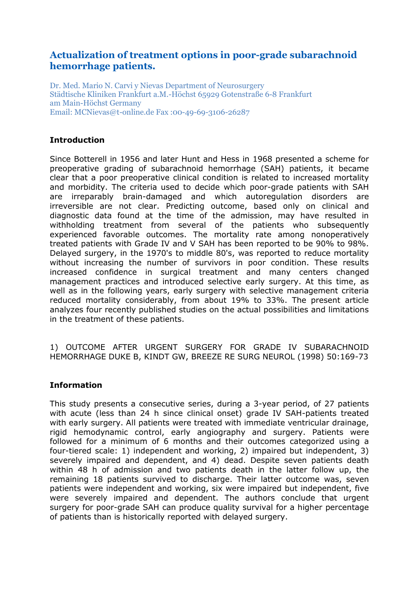# **Actualization of treatment options in poor-grade subarachnoid hemorrhage patients.**

Dr. Med. Mario N. Carvi y Nievas Department of Neurosurgery Städtische Kliniken Frankfurt a.M.-Höchst 65929 Gotenstraße 6-8 Frankfurt am Main-Höchst Germany Email: MCNievas@t-online.de Fax :00-49-69-3106-26287

#### **Introduction**

Since Botterell in 1956 and later Hunt and Hess in 1968 presented a scheme for preoperative grading of subarachnoid hemorrhage (SAH) patients, it became clear that a poor preoperative clinical condition is related to increased mortality and morbidity. The criteria used to decide which poor-grade patients with SAH are irreparably brain-damaged and which autoregulation disorders are irreversible are not clear. Predicting outcome, based only on clinical and diagnostic data found at the time of the admission, may have resulted in withholding treatment from several of the patients who subsequently experienced favorable outcomes. The mortality rate among nonoperatively treated patients with Grade IV and V SAH has been reported to be 90% to 98%. Delayed surgery, in the 1970's to middle 80's, was reported to reduce mortality without increasing the number of survivors in poor condition. These results increased confidence in surgical treatment and many centers changed management practices and introduced selective early surgery. At this time, as well as in the following years, early surgery with selective management criteria reduced mortality considerably, from about 19% to 33%. The present article analyzes four recently published studies on the actual possibilities and limitations in the treatment of these patients.

1) OUTCOME AFTER URGENT SURGERY FOR GRADE IV SUBARACHNOID HEMORRHAGE DUKE B, KINDT GW, BREEZE RE SURG NEUROL (1998) 50:169-73

#### **Information**

This study presents a consecutive series, during a 3-year period, of 27 patients with acute (less than 24 h since clinical onset) grade IV SAH-patients treated with early surgery. All patients were treated with immediate ventricular drainage, rigid hemodynamic control, early angiography and surgery. Patients were followed for a minimum of 6 months and their outcomes categorized using a four-tiered scale: 1) independent and working, 2) impaired but independent, 3) severely impaired and dependent, and 4) dead. Despite seven patients death within 48 h of admission and two patients death in the latter follow up, the remaining 18 patients survived to discharge. Their latter outcome was, seven patients were independent and working, six were impaired but independent, five were severely impaired and dependent. The authors conclude that urgent surgery for poor-grade SAH can produce quality survival for a higher percentage of patients than is historically reported with delayed surgery.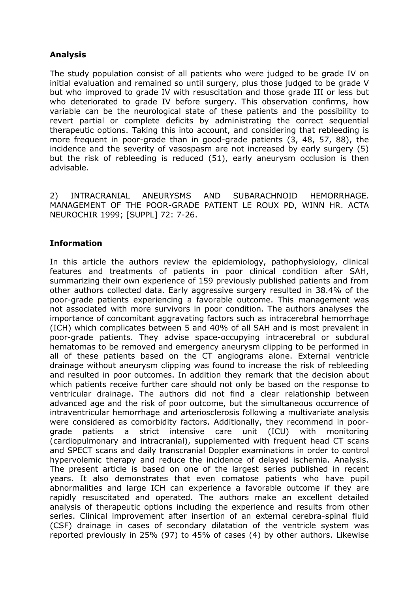## **Analysis**

The study population consist of all patients who were judged to be grade IV on initial evaluation and remained so until surgery, plus those judged to be grade V but who improved to grade IV with resuscitation and those grade III or less but who deteriorated to grade IV before surgery. This observation confirms, how variable can be the neurological state of these patients and the possibility to revert partial or complete deficits by administrating the correct sequential therapeutic options. Taking this into account, and considering that rebleeding is more frequent in poor-grade than in good-grade patients (3, 48, 57, 88), the incidence and the severity of vasospasm are not increased by early surgery (5) but the risk of rebleeding is reduced (51), early aneurysm occlusion is then advisable.

2) INTRACRANIAL ANEURYSMS AND SUBARACHNOID HEMORRHAGE. MANAGEMENT OF THE POOR-GRADE PATIENT LE ROUX PD, WINN HR. ACTA NEUROCHIR 1999; [SUPPL] 72: 7-26.

#### **Information**

In this article the authors review the epidemiology, pathophysiology, clinical features and treatments of patients in poor clinical condition after SAH, summarizing their own experience of 159 previously published patients and from other authors collected data. Early aggressive surgery resulted in 38.4% of the poor-grade patients experiencing a favorable outcome. This management was not associated with more survivors in poor condition. The authors analyses the importance of concomitant aggravating factors such as intracerebral hemorrhage (ICH) which complicates between 5 and 40% of all SAH and is most prevalent in poor-grade patients. They advise space-occupying intracerebral or subdural hematomas to be removed and emergency aneurysm clipping to be performed in all of these patients based on the CT angiograms alone. External ventricle drainage without aneurysm clipping was found to increase the risk of rebleeding and resulted in poor outcomes. In addition they remark that the decision about which patients receive further care should not only be based on the response to ventricular drainage. The authors did not find a clear relationship between advanced age and the risk of poor outcome, but the simultaneous occurrence of intraventricular hemorrhage and arteriosclerosis following a multivariate analysis were considered as comorbidity factors. Additionally, they recommend in poorgrade patients a strict intensive care unit (ICU) with monitoring (cardiopulmonary and intracranial), supplemented with frequent head CT scans and SPECT scans and daily transcranial Doppler examinations in order to control hypervolemic therapy and reduce the incidence of delayed ischemia. Analysis. The present article is based on one of the largest series published in recent years. It also demonstrates that even comatose patients who have pupil abnormalities and large ICH can experience a favorable outcome if they are rapidly resuscitated and operated. The authors make an excellent detailed analysis of therapeutic options including the experience and results from other series. Clinical improvement after insertion of an external cerebra-spinal fluid (CSF) drainage in cases of secondary dilatation of the ventricle system was reported previously in 25% (97) to 45% of cases (4) by other authors. Likewise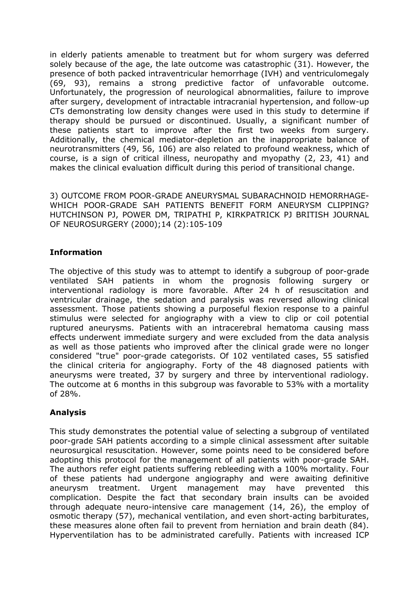in elderly patients amenable to treatment but for whom surgery was deferred solely because of the age, the late outcome was catastrophic (31). However, the presence of both packed intraventricular hemorrhage (IVH) and ventriculomegaly (69, 93), remains a strong predictive factor of unfavorable outcome. Unfortunately, the progression of neurological abnormalities, failure to improve after surgery, development of intractable intracranial hypertension, and follow-up CTs demonstrating low density changes were used in this study to determine if therapy should be pursued or discontinued. Usually, a significant number of these patients start to improve after the first two weeks from surgery. Additionally, the chemical mediator-depletion an the inappropriate balance of neurotransmitters (49, 56, 106) are also related to profound weakness, which of course, is a sign of critical illness, neuropathy and myopathy (2, 23, 41) and makes the clinical evaluation difficult during this period of transitional change.

3) OUTCOME FROM POOR-GRADE ANEURYSMAL SUBARACHNOID HEMORRHAGE-WHICH POOR-GRADE SAH PATIENTS BENEFIT FORM ANEURYSM CLIPPING? HUTCHINSON PJ, POWER DM, TRIPATHI P, KIRKPATRICK PJ BRITISH JOURNAL OF NEUROSURGERY (2000);14 (2):105-109

## **Information**

The objective of this study was to attempt to identify a subgroup of poor-grade ventilated SAH patients in whom the prognosis following surgery or interventional radiology is more favorable. After 24 h of resuscitation and ventricular drainage, the sedation and paralysis was reversed allowing clinical assessment. Those patients showing a purposeful flexion response to a painful stimulus were selected for angiography with a view to clip or coil potential ruptured aneurysms. Patients with an intracerebral hematoma causing mass effects underwent immediate surgery and were excluded from the data analysis as well as those patients who improved after the clinical grade were no longer considered "true" poor-grade categorists. Of 102 ventilated cases, 55 satisfied the clinical criteria for angiography. Forty of the 48 diagnosed patients with aneurysms were treated, 37 by surgery and three by interventional radiology. The outcome at 6 months in this subgroup was favorable to 53% with a mortality of 28%.

## **Analysis**

This study demonstrates the potential value of selecting a subgroup of ventilated poor-grade SAH patients according to a simple clinical assessment after suitable neurosurgical resuscitation. However, some points need to be considered before adopting this protocol for the management of all patients with poor-grade SAH. The authors refer eight patients suffering rebleeding with a 100% mortality. Four of these patients had undergone angiography and were awaiting definitive aneurysm treatment. Urgent management may have prevented this complication. Despite the fact that secondary brain insults can be avoided through adequate neuro-intensive care management (14, 26), the employ of osmotic therapy (57), mechanical ventilation, and even short-acting barbiturates, these measures alone often fail to prevent from herniation and brain death (84). Hyperventilation has to be administrated carefully. Patients with increased ICP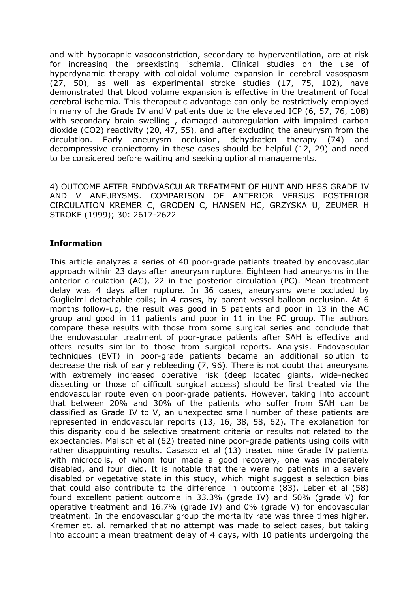and with hypocapnic vasoconstriction, secondary to hyperventilation, are at risk for increasing the preexisting ischemia. Clinical studies on the use of hyperdynamic therapy with colloidal volume expansion in cerebral vasospasm (27, 50), as well as experimental stroke studies (17, 75, 102), have demonstrated that blood volume expansion is effective in the treatment of focal cerebral ischemia. This therapeutic advantage can only be restrictively employed in many of the Grade IV and V patients due to the elevated ICP (6, 57, 76, 108) with secondary brain swelling , damaged autoregulation with impaired carbon dioxide (CO2) reactivity (20, 47, 55), and after excluding the aneurysm from the circulation. Early aneurysm occlusion, dehydration therapy (74) and decompressive craniectomy in these cases should be helpful (12, 29) and need to be considered before waiting and seeking optional managements.

4) OUTCOME AFTER ENDOVASCULAR TREATMENT OF HUNT AND HESS GRADE IV AND V ANEURYSMS. COMPARISON OF ANTERIOR VERSUS POSTERIOR CIRCULATION KREMER C, GRODEN C, HANSEN HC, GRZYSKA U, ZEUMER H STROKE (1999); 30: 2617-2622

## **Information**

This article analyzes a series of 40 poor-grade patients treated by endovascular approach within 23 days after aneurysm rupture. Eighteen had aneurysms in the anterior circulation (AC), 22 in the posterior circulation (PC). Mean treatment delay was 4 days after rupture. In 36 cases, aneurysms were occluded by Guglielmi detachable coils; in 4 cases, by parent vessel balloon occlusion. At 6 months follow-up, the result was good in 5 patients and poor in 13 in the AC group and good in 11 patients and poor in 11 in the PC group. The authors compare these results with those from some surgical series and conclude that the endovascular treatment of poor-grade patients after SAH is effective and offers results similar to those from surgical reports. Analysis. Endovascular techniques (EVT) in poor-grade patients became an additional solution to decrease the risk of early rebleeding (7, 96). There is not doubt that aneurysms with extremely increased operative risk (deep located giants, wide-necked dissecting or those of difficult surgical access) should be first treated via the endovascular route even on poor-grade patients. However, taking into account that between 20% and 30% of the patients who suffer from SAH can be classified as Grade IV to V, an unexpected small number of these patients are represented in endovascular reports (13, 16, 38, 58, 62). The explanation for this disparity could be selective treatment criteria or results not related to the expectancies. Malisch et al (62) treated nine poor-grade patients using coils with rather disappointing results. Casasco et al (13) treated nine Grade IV patients with microcoils, of whom four made a good recovery, one was moderately disabled, and four died. It is notable that there were no patients in a severe disabled or vegetative state in this study, which might suggest a selection bias that could also contribute to the difference in outcome (83). Leber et al (58) found excellent patient outcome in 33.3% (grade IV) and 50% (grade V) for operative treatment and 16.7% (grade IV) and 0% (grade V) for endovascular treatment. In the endovascular group the mortality rate was three times higher. Kremer et. al. remarked that no attempt was made to select cases, but taking into account a mean treatment delay of 4 days, with 10 patients undergoing the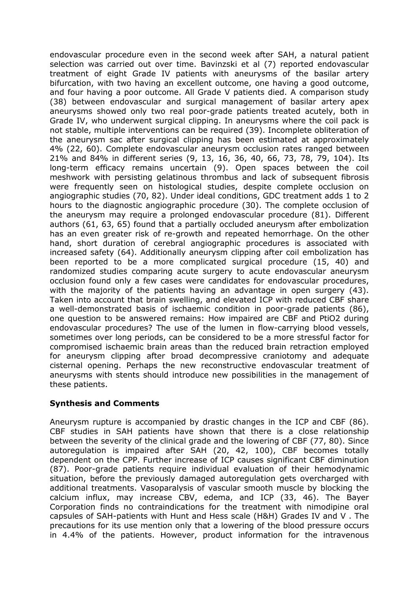endovascular procedure even in the second week after SAH, a natural patient selection was carried out over time. Bavinzski et al (7) reported endovascular treatment of eight Grade IV patients with aneurysms of the basilar artery bifurcation, with two having an excellent outcome, one having a good outcome, and four having a poor outcome. All Grade V patients died. A comparison study (38) between endovascular and surgical management of basilar artery apex aneurysms showed only two real poor-grade patients treated acutely, both in Grade IV, who underwent surgical clipping. In aneurysms where the coil pack is not stable, multiple interventions can be required (39). Incomplete obliteration of the aneurysm sac after surgical clipping has been estimated at approximately 4% (22, 60). Complete endovascular aneurysm occlusion rates ranged between 21% and 84% in different series (9, 13, 16, 36, 40, 66, 73, 78, 79, 104). Its long-term efficacy remains uncertain (9). Open spaces between the coil meshwork with persisting gelatinous thrombus and lack of subsequent fibrosis were frequently seen on histological studies, despite complete occlusion on angiographic studies (70, 82). Under ideal conditions, GDC treatment adds 1 to 2 hours to the diagnostic angiographic procedure (30). The complete occlusion of the aneurysm may require a prolonged endovascular procedure (81). Different authors (61, 63, 65) found that a partially occluded aneurysm after embolization has an even greater risk of re-growth and repeated hemorrhage. On the other hand, short duration of cerebral angiographic procedures is associated with increased safety (64). Additionally aneurysm clipping after coil embolization has been reported to be a more complicated surgical procedure (15, 40) and randomized studies comparing acute surgery to acute endovascular aneurysm occlusion found only a few cases were candidates for endovascular procedures, with the majority of the patients having an advantage in open surgery (43). Taken into account that brain swelling, and elevated ICP with reduced CBF share a well-demonstrated basis of ischaemic condition in poor-grade patients (86), one question to be answered remains: How impaired are CBF and PtiO2 during endovascular procedures? The use of the lumen in flow-carrying blood vessels, sometimes over long periods, can be considered to be a more stressful factor for compromised ischaemic brain areas than the reduced brain retraction employed for aneurysm clipping after broad decompressive craniotomy and adequate cisternal opening. Perhaps the new reconstructive endovascular treatment of aneurysms with stents should introduce new possibilities in the management of these patients.

## **Synthesis and Comments**

Aneurysm rupture is accompanied by drastic changes in the ICP and CBF (86). CBF studies in SAH patients have shown that there is a close relationship between the severity of the clinical grade and the lowering of CBF (77, 80). Since autoregulation is impaired after SAH (20, 42, 100), CBF becomes totally dependent on the CPP. Further increase of ICP causes significant CBF diminution (87). Poor-grade patients require individual evaluation of their hemodynamic situation, before the previously damaged autoregulation gets overcharged with additional treatments. Vasoparalysis of vascular smooth muscle by blocking the calcium influx, may increase CBV, edema, and ICP (33, 46). The Bayer Corporation finds no contraindications for the treatment with nimodipine oral capsules of SAH-patients with Hunt and Hess scale (H&H) Grades IV and V . The precautions for its use mention only that a lowering of the blood pressure occurs in 4.4% of the patients. However, product information for the intravenous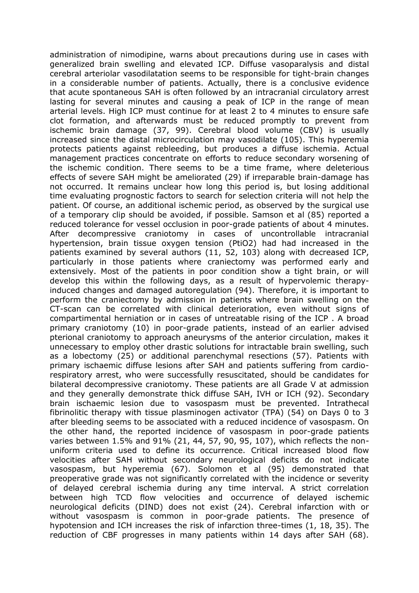administration of nimodipine, warns about precautions during use in cases with generalized brain swelling and elevated ICP. Diffuse vasoparalysis and distal cerebral arteriolar vasodilatation seems to be responsible for tight-brain changes in a considerable number of patients. Actually, there is a conclusive evidence that acute spontaneous SAH is often followed by an intracranial circulatory arrest lasting for several minutes and causing a peak of ICP in the range of mean arterial levels. High ICP must continue for at least 2 to 4 minutes to ensure safe clot formation, and afterwards must be reduced promptly to prevent from ischemic brain damage (37, 99). Cerebral blood volume (CBV) is usually increased since the distal microcirculation may vasodilate (105). This hyperemia protects patients against rebleeding, but produces a diffuse ischemia. Actual management practices concentrate on efforts to reduce secondary worsening of the ischemic condition. There seems to be a time frame, where deleterious effects of severe SAH might be ameliorated (29) if irreparable brain-damage has not occurred. It remains unclear how long this period is, but losing additional time evaluating prognostic factors to search for selection criteria will not help the patient. Of course, an additional ischemic period, as observed by the surgical use of a temporary clip should be avoided, if possible. Samson et al (85) reported a reduced tolerance for vessel occlusion in poor-grade patients of about 4 minutes. After decompressive craniotomy in cases of uncontrollable intracranial hypertension, brain tissue oxygen tension (PtiO2) had had increased in the patients examined by several authors (11, 52, 103) along with decreased ICP, particularly in those patients where craniectomy was performed early and extensively. Most of the patients in poor condition show a tight brain, or will develop this within the following days, as a result of hypervolemic therapyinduced changes and damaged autoregulation (94). Therefore, it is important to perform the craniectomy by admission in patients where brain swelling on the CT-scan can be correlated with clinical deterioration, even without signs of compartimental herniation or in cases of untreatable rising of the ICP . A broad primary craniotomy (10) in poor-grade patients, instead of an earlier advised pterional craniotomy to approach aneurysms of the anterior circulation, makes it unnecessary to employ other drastic solutions for intractable brain swelling, such as a lobectomy (25) or additional parenchymal resections (57). Patients with primary ischaemic diffuse lesions after SAH and patients suffering from cardiorespiratory arrest, who were successfully resuscitated, should be candidates for bilateral decompressive craniotomy. These patients are all Grade V at admission and they generally demonstrate thick diffuse SAH, IVH or ICH (92). Secondary brain ischaemic lesion due to vasospasm must be prevented. Intrathecal fibrinolitic therapy with tissue plasminogen activator (TPA) (54) on Days 0 to 3 after bleeding seems to be associated with a reduced incidence of vasospasm. On the other hand, the reported incidence of vasospasm in poor-grade patients varies between 1.5% and 91% (21, 44, 57, 90, 95, 107), which reflects the nonuniform criteria used to define its occurrence. Critical increased blood flow velocities after SAH without secondary neurological deficits do not indicate vasospasm, but hyperemia (67). Solomon et al (95) demonstrated that preoperative grade was not significantly correlated with the incidence or severity of delayed cerebral ischemia during any time interval. A strict correlation between high TCD flow velocities and occurrence of delayed ischemic neurological deficits (DIND) does not exist (24). Cerebral infarction with or without vasospasm is common in poor-grade patients. The presence of hypotension and ICH increases the risk of infarction three-times (1, 18, 35). The reduction of CBF progresses in many patients within 14 days after SAH (68).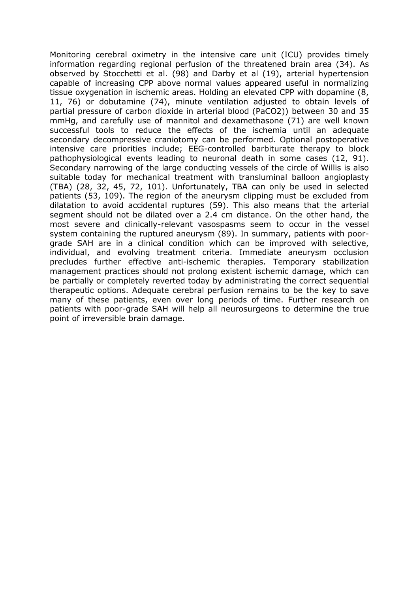Monitoring cerebral oximetry in the intensive care unit (ICU) provides timely information regarding regional perfusion of the threatened brain area (34). As observed by Stocchetti et al. (98) and Darby et al (19), arterial hypertension capable of increasing CPP above normal values appeared useful in normalizing tissue oxygenation in ischemic areas. Holding an elevated CPP with dopamine (8, 11, 76) or dobutamine (74), minute ventilation adjusted to obtain levels of partial pressure of carbon dioxide in arterial blood (PaCO2)) between 30 and 35 mmHg, and carefully use of mannitol and dexamethasone (71) are well known successful tools to reduce the effects of the ischemia until an adequate secondary decompressive craniotomy can be performed. Optional postoperative intensive care priorities include; EEG-controlled barbiturate therapy to block pathophysiological events leading to neuronal death in some cases (12, 91). Secondary narrowing of the large conducting vessels of the circle of Willis is also suitable today for mechanical treatment with transluminal balloon angioplasty (TBA) (28, 32, 45, 72, 101). Unfortunately, TBA can only be used in selected patients (53, 109). The region of the aneurysm clipping must be excluded from dilatation to avoid accidental ruptures (59). This also means that the arterial segment should not be dilated over a 2.4 cm distance. On the other hand, the most severe and clinically-relevant vasospasms seem to occur in the vessel system containing the ruptured aneurysm (89). In summary, patients with poorgrade SAH are in a clinical condition which can be improved with selective, individual, and evolving treatment criteria. Immediate aneurysm occlusion precludes further effective anti-ischemic therapies. Temporary stabilization management practices should not prolong existent ischemic damage, which can be partially or completely reverted today by administrating the correct sequential therapeutic options. Adequate cerebral perfusion remains to be the key to save many of these patients, even over long periods of time. Further research on patients with poor-grade SAH will help all neurosurgeons to determine the true point of irreversible brain damage.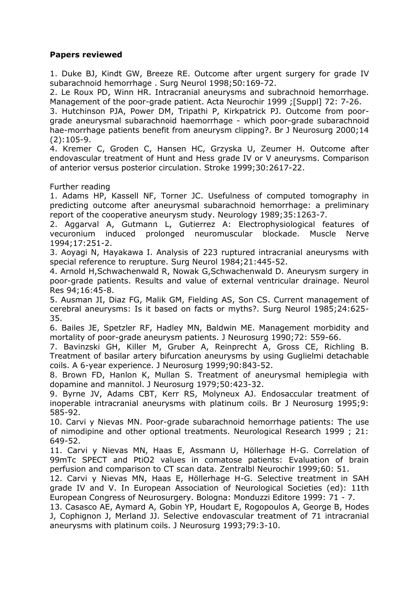#### **Papers reviewed**

1. Duke BJ, Kindt GW, Breeze RE. Outcome after urgent surgery for grade IV subarachnoid hemorrhage . Surg Neurol 1998;50:169-72.

2. Le Roux PD, Winn HR. Intracranial aneurysms and subrachnoid hemorrhage. Management of the poor-grade patient. Acta Neurochir 1999 ;[Suppl] 72: 7-26.

3. Hutchinson PJA, Power DM, Tripathi P, Kirkpatrick PJ. Outcome from poorgrade aneurysmal subarachnoid haemorrhage - which poor-grade subarachnoid hae-morrhage patients benefit from aneurysm clipping?. Br J Neurosurg 2000;14 (2):105-9.

4. Kremer C, Groden C, Hansen HC, Grzyska U, Zeumer H. Outcome after endovascular treatment of Hunt and Hess grade IV or V aneurysms. Comparison of anterior versus posterior circulation. Stroke 1999;30:2617-22.

Further reading

1. Adams HP, Kassell NF, Torner JC. Usefulness of computed tomography in predicting outcome after aneurysmal subarachnoid hemorrhage: a preliminary report of the cooperative aneurysm study. Neurology 1989;35:1263-7.

2. Aggarval A, Gutmann L, Gutierrez A: Electrophysiological features of vecuronium induced prolonged neuromuscular blockade. Muscle Nerve 1994;17:251-2.

3. Aoyagi N, Hayakawa I. Analysis of 223 ruptured intracranial aneurysms with special reference to rerupture. Surg Neurol 1984;21:445-52.

4. Arnold H,Schwachenwald R, Nowak G,Schwachenwald D. Aneurysm surgery in poor-grade patients. Results and value of external ventricular drainage. Neurol Res 94;16:45-8.

5. Ausman JI, Diaz FG, Malik GM, Fielding AS, Son CS. Current management of cerebral aneurysms: Is it based on facts or myths?. Surg Neurol 1985;24:625- 35.

6. Bailes JE, Spetzler RF, Hadley MN, Baldwin ME. Management morbidity and mortality of poor-grade aneurysm patients. J Neurosurg 1990;72: 559-66.

7. Bavinzski GH, Killer M, Gruber A, Reinprecht A, Gross CE, Richling B. Treatment of basilar artery bifurcation aneurysms by using Guglielmi detachable coils. A 6-year experience. J Neurosurg 1999;90:843-52.

8. Brown FD, Hanlon K, Mullan S. Treatment of aneurysmal hemiplegia with dopamine and mannitol. J Neurosurg 1979;50:423-32.

9. Byrne JV, Adams CBT, Kerr RS, Molyneux AJ. Endosaccular treatment of inoperable intracranial aneurysms with platinum coils. Br J Neurosurg 1995;9: 585-92.

10. Carvi y Nievas MN. Poor-grade subarachnoid hemorrhage patients: The use of nimodipine and other optional treatments. Neurological Research 1999 ; 21: 649-52.

11. Carvi y Nievas MN, Haas E, Assmann U, Höllerhage H-G. Correlation of 99mTc SPECT and PtiO2 values in comatose patients: Evaluation of brain perfusion and comparison to CT scan data. Zentralbl Neurochir 1999;60: 51.

12. Carvi y Nievas MN, Haas E, Höllerhage H-G. Selective treatment in SAH grade IV and V. In European Association of Neurological Societies (ed): 11th European Congress of Neurosurgery. Bologna: Monduzzi Editore 1999: 71 - 7.

13. Casasco AE, Aymard A, Gobin YP, Houdart E, Rogopoulos A, George B, Hodes J, Cophignon J, Merland JJ. Selective endovascular treatment of 71 intracranial aneurysms with platinum coils. J Neurosurg 1993;79:3-10.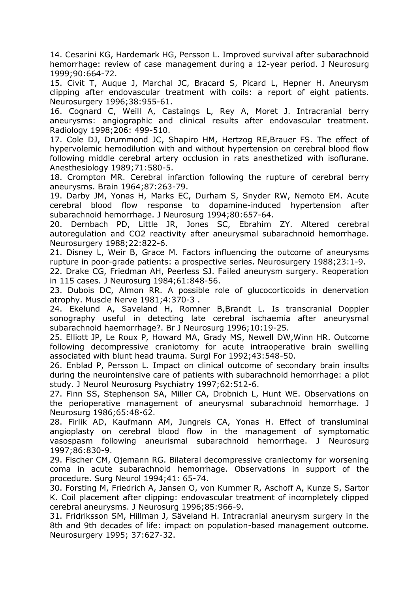14. Cesarini KG, Hardemark HG, Persson L. Improved survival after subarachnoid hemorrhage: review of case management during a 12-year period. J Neurosurg 1999;90:664-72.

15. Civit T, Auque J, Marchal JC, Bracard S, Picard L, Hepner H. Aneurysm clipping after endovascular treatment with coils: a report of eight patients. Neurosurgery 1996;38:955-61.

16. Cognard C, Weill A, Castaings L, Rey A, Moret J. Intracranial berry aneurysms: angiographic and clinical results after endovascular treatment. Radiology 1998;206: 499-510.

17. Cole DJ, Drummond JC, Shapiro HM, Hertzog RE,Brauer FS. The effect of hypervolemic hemodilution with and without hypertension on cerebral blood flow following middle cerebral artery occlusion in rats anesthetized with isoflurane. Anesthesiology 1989;71:580-5.

18. Crompton MR. Cerebral infarction following the rupture of cerebral berry aneurysms. Brain 1964;87:263-79.

19. Darby JM, Yonas H, Marks EC, Durham S, Snyder RW, Nemoto EM. Acute cerebral blood flow response to dopamine-induced hypertension after subarachnoid hemorrhage. J Neurosurg 1994;80:657-64.

20. Dernbach PD, Little JR, Jones SC, Ebrahim ZY. Altered cerebral autoregulation and CO2 reactivity after aneurysmal subarachnoid hemorrhage. Neurosurgery 1988;22:822-6.

21. Disney L, Weir B, Grace M. Factors influencing the outcome of aneurysms rupture in poor-grade patients: a prospective series. Neurosurgery 1988;23:1-9.

22. Drake CG, Friedman AH, Peerless SJ. Failed aneurysm surgery. Reoperation in 115 cases. J Neurosurg 1984;61:848-56.

23. Dubois DC, Almon RR. A possible role of glucocorticoids in denervation atrophy. Muscle Nerve 1981;4:370-3 .

24. Ekelund A, Saveland H, Romner B,Brandt L. Is transcranial Doppler sonography useful in detecting late cerebral ischaemia after aneurysmal subarachnoid haemorrhage?. Br J Neurosurg 1996;10:19-25.

25. Elliott JP, Le Roux P, Howard MA, Grady MS, Newell DW,Winn HR. Outcome following decompressive craniotomy for acute intraoperative brain swelling associated with blunt head trauma. Surgl For 1992;43:548-50.

26. Enblad P, Persson L. Impact on clinical outcome of secondary brain insults during the neurointensive care of patients with subarachnoid hemorrhage: a pilot study. J Neurol Neurosurg Psychiatry 1997;62:512-6.

27. Finn SS, Stephenson SA, Miller CA, Drobnich L, Hunt WE. Observations on the perioperative management of aneurysmal subarachnoid hemorrhage. J Neurosurg 1986;65:48-62.

28. Firlik AD, Kaufmann AM, Jungreis CA, Yonas H. Effect of transluminal angioplasty on cerebral blood flow in the management of symptomatic vasospasm following aneurismal subarachnoid hemorrhage. J Neurosurg 1997;86:830-9.

29. Fischer CM, Ojemann RG. Bilateral decompressive craniectomy for worsening coma in acute subarachnoid hemorrhage. Observations in support of the procedure. Surg Neurol 1994;41: 65-74.

30. Forsting M, Friedrich A, Jansen O, von Kummer R, Aschoff A, Kunze S, Sartor K. Coil placement after clipping: endovascular treatment of incompletely clipped cerebral aneurysms. J Neurosurg 1996;85:966-9.

31. Fridriksson SM, Hillman J, Säveland H. Intracranial aneurysm surgery in the 8th and 9th decades of life: impact on population-based management outcome. Neurosurgery 1995; 37:627-32.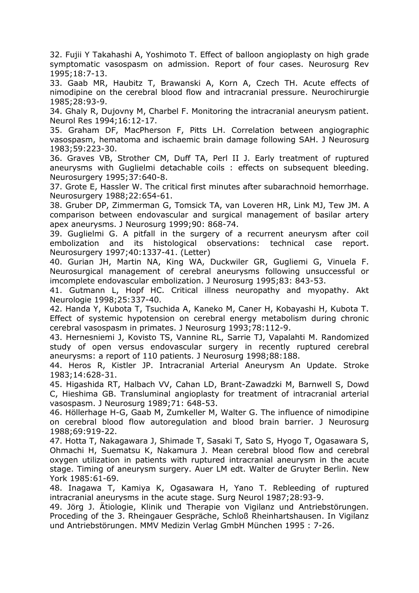32. Fujii Y Takahashi A, Yoshimoto T. Effect of balloon angioplasty on high grade symptomatic vasospasm on admission. Report of four cases. Neurosurg Rev 1995;18:7-13.

33. Gaab MR, Haubitz T, Brawanski A, Korn A, Czech TH. Acute effects of nimodipine on the cerebral blood flow and intracranial pressure. Neurochirurgie 1985;28:93-9.

34. Ghaly R, Dujovny M, Charbel F. Monitoring the intracranial aneurysm patient. Neurol Res 1994;16:12-17.

35. Graham DF, MacPherson F, Pitts LH. Correlation between angiographic vasospasm, hematoma and ischaemic brain damage following SAH. J Neurosurg 1983;59:223-30.

36. Graves VB, Strother CM, Duff TA, Perl II J. Early treatment of ruptured aneurysms with Guglielmi detachable coils : effects on subsequent bleeding. Neurosurgery 1995;37:640-8.

37. Grote E, Hassler W. The critical first minutes after subarachnoid hemorrhage. Neurosurgery 1988;22:654-61.

38. Gruber DP, Zimmerman G, Tomsick TA, van Loveren HR, Link MJ, Tew JM. A comparison between endovascular and surgical management of basilar artery apex aneurysms. J Neurosurg 1999;90: 868-74.

39. Guglielmi G. A pitfall in the surgery of a recurrent aneurysm after coil embolization and its histological observations: technical case report. Neurosurgery 1997;40:1337-41. (Letter)

40. Gurian JH, Martin NA, King WA, Duckwiler GR, Gugliemi G, Vinuela F. Neurosurgical management of cerebral aneurysms following unsuccessful or imcomplete endovascular embolization. J Neurosurg 1995;83: 843-53.

41. Gutmann L, Hopf HC. Critical illness neuropathy and myopathy. Akt Neurologie 1998;25:337-40.

42. Handa Y, Kubota T, Tsuchida A, Kaneko M, Caner H, Kobayashi H, Kubota T. Effect of systemic hypotension on cerebral energy metabolism during chronic cerebral vasospasm in primates. J Neurosurg 1993;78:112-9.

43. Hernesniemi J, Kovisto TS, Vannine RL, Sarrie TJ, Vapalahti M. Randomized study of open versus endovascular surgery in recently ruptured cerebral aneurysms: a report of 110 patients. J Neurosurg 1998;88:188.

44. Heros R, Kistler JP. Intracranial Arterial Aneurysm An Update. Stroke 1983;14:628-31.

45. Higashida RT, Halbach VV, Cahan LD, Brant-Zawadzki M, Barnwell S, Dowd C, Hieshima GB. Transluminal angioplasty for treatment of intracranial arterial vasospasm. J Neurosurg 1989;71: 648-53.

46. Höllerhage H-G, Gaab M, Zumkeller M, Walter G. The influence of nimodipine on cerebral blood flow autoregulation and blood brain barrier. J Neurosurg 1988;69:919-22.

47. Hotta T, Nakagawara J, Shimade T, Sasaki T, Sato S, Hyogo T, Ogasawara S, Ohmachi H, Suematsu K, Nakamura J. Mean cerebral blood flow and cerebral oxygen utilization in patients with ruptured intracranial aneurysm in the acute stage. Timing of aneurysm surgery. Auer LM edt. Walter de Gruyter Berlin. New York 1985:61-69.

48. Inagawa T, Kamiya K, Ogasawara H, Yano T. Rebleeding of ruptured intracranial aneurysms in the acute stage. Surg Neurol 1987;28:93-9.

49. Jörg J. Ätiologie, Klinik und Therapie von Vigilanz und Antriebstörungen. Proceding of the 3. Rheingauer Gespräche, Schloß Rheinhartshausen. In Vigilanz und Antriebstörungen. MMV Medizin Verlag GmbH München 1995 : 7-26.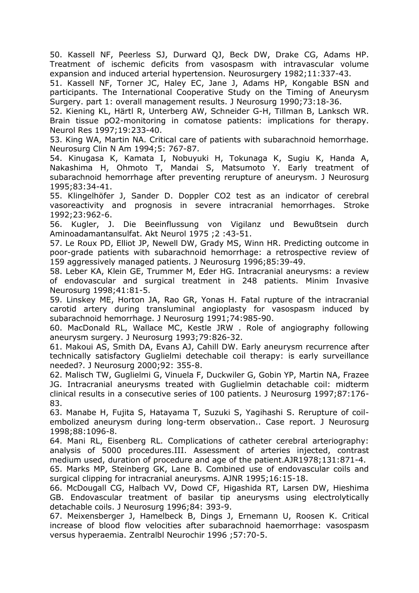50. Kassell NF, Peerless SJ, Durward QJ, Beck DW, Drake CG, Adams HP. Treatment of ischemic deficits from vasospasm with intravascular volume expansion and induced arterial hypertension. Neurosurgery 1982;11:337-43.

51. Kassell NF, Torner JC, Haley EC, Jane J, Adams HP, Kongable BSN and participants. The International Cooperative Study on the Timing of Aneurysm Surgery. part 1: overall management results. J Neurosurg 1990;73:18-36.

52. Kiening KL, Härtl R, Unterberg AW, Schneider G-H, Tillman B, Lanksch WR. Brain tissue pO2-monitoring in comatose patients: implications for therapy. Neurol Res 1997;19:233-40.

53. King WA, Martin NA. Critical care of patients with subarachnoid hemorrhage. Neurosurg Clin N Am 1994;5: 767-87.

54. Kinugasa K, Kamata I, Nobuyuki H, Tokunaga K, Sugiu K, Handa A, Nakashima H, Ohmoto T, Mandai S, Matsumoto Y. Early treatment of subarachnoid hemorrhage after preventing rerupture of aneurysm. J Neurosurg 1995;83:34-41.

55. Klingelhöfer J, Sander D. Doppler CO2 test as an indicator of cerebral vasoreactivity and prognosis in severe intracranial hemorrhages. Stroke 1992;23:962-6.

56. Kugler, J. Die Beeinflussung von Vigilanz und Bewußtsein durch Aminoadamantansulfat. Akt Neurol 1975 ;2 :43-51.

57. Le Roux PD, Elliot JP, Newell DW, Grady MS, Winn HR. Predicting outcome in poor-grade patients with subarachnoid hemorrhage: a retrospective review of 159 aggressively managed patients. J Neurosurg 1996;85:39-49.

58. Leber KA, Klein GE, Trummer M, Eder HG. Intracranial aneurysms: a review of endovascular and surgical treatment in 248 patients. Minim Invasive Neurosurg 1998;41:81-5.

59. Linskey ME, Horton JA, Rao GR, Yonas H. Fatal rupture of the intracranial carotid artery during transluminal angioplasty for vasospasm induced by subarachnoid hemorrhage. J Neurosurg 1991;74:985-90.

60. MacDonald RL, Wallace MC, Kestle JRW . Role of angiography following aneurysm surgery. J Neurosurg 1993;79:826-32.

61. Makoui AS, Smith DA, Evans AJ, Cahill DW. Early aneurysm recurrence after technically satisfactory Guglielmi detechable coil therapy: is early surveillance needed?. J Neurosurg 2000;92: 355-8.

62. Malisch TW, Guglielmi G, Vinuela F, Duckwiler G, Gobin YP, Martin NA, Frazee JG. Intracranial aneurysms treated with Guglielmin detachable coil: midterm clinical results in a consecutive series of 100 patients. J Neurosurg 1997;87:176- 83.

63. Manabe H, Fujita S, Hatayama T, Suzuki S, Yagihashi S. Rerupture of coilembolized aneurysm during long-term observation.. Case report. J Neurosurg 1998;88:1096-8.

64. Mani RL, Eisenberg RL. Complications of catheter cerebral arteriography: analysis of 5000 procedures.III. Assessment of arteries injected, contrast medium used, duration of procedure and age of the patient.AJR1978;131:871-4.

65. Marks MP, Steinberg GK, Lane B. Combined use of endovascular coils and surgical clipping for intracranial aneurysms. AJNR 1995;16:15-18.

66. McDougall CG, Halbach VV, Dowd CF, Higashida RT, Larsen DW, Hieshima GB. Endovascular treatment of basilar tip aneurysms using electrolytically detachable coils. J Neurosurg 1996;84: 393-9.

67. Meixensberger J, Hamelbeck B, Dings J, Ernemann U, Roosen K. Critical increase of blood flow velocities after subarachnoid haemorrhage: vasospasm versus hyperaemia. Zentralbl Neurochir 1996 ;57:70-5.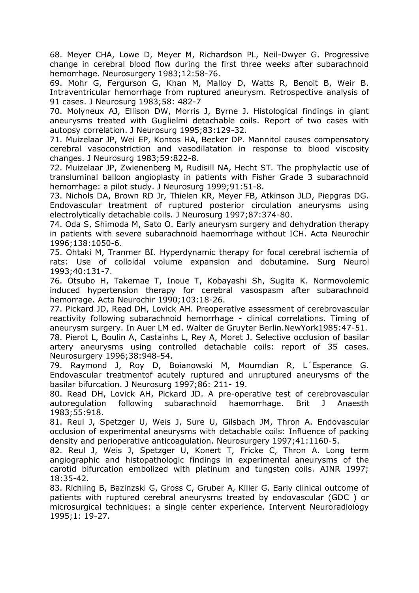68. Meyer CHA, Lowe D, Meyer M, Richardson PL, Neil-Dwyer G. Progressive change in cerebral blood flow during the first three weeks after subarachnoid hemorrhage. Neurosurgery 1983;12:58-76.

69. Mohr G, Fergurson G, Khan M, Malloy D, Watts R, Benoit B, Weir B. Intraventricular hemorrhage from ruptured aneurysm. Retrospective analysis of 91 cases. J Neurosurg 1983;58: 482-7

70. Molyneux AJ, Ellison DW, Morris J, Byrne J. Histological findings in giant aneurysms treated with Guglielmi detachable coils. Report of two cases with autopsy correlation. J Neurosurg 1995;83:129-32.

71. Muizelaar JP, Wei EP, Kontos HA, Becker DP. Mannitol causes compensatory cerebral vasoconstriction and vasodilatation in response to blood viscosity changes. J Neurosurg 1983;59:822-8.

72. Muizelaar JP, Zwienenberg M, Rudisill NA, Hecht ST. The prophylactic use of transluminal balloon angioplasty in patients with Fisher Grade 3 subarachnoid hemorrhage: a pilot study. J Neurosurg 1999;91:51-8.

73. Nichols DA, Brown RD Jr, Thielen KR, Meyer FB, Atkinson JLD, Piepgras DG. Endovascular treatment of ruptured posterior circulation aneurysms using electrolytically detachable coils. J Neurosurg 1997;87:374-80.

74. Oda S, Shimoda M, Sato O. Early aneurysm surgery and dehydration therapy in patients with severe subarachnoid haemorrhage without ICH. Acta Neurochir 1996;138:1050-6.

75. Ohtaki M, Tranmer BI. Hyperdynamic therapy for focal cerebral ischemia of rats: Use of colloidal volume expansion and dobutamine. Surg Neurol 1993;40:131-7.

76. Otsubo H, Takemae T, Inoue T, Kobayashi Sh, Sugita K. Normovolemic induced hypertension therapy for cerebral vasospasm after subarachnoid hemorrage. Acta Neurochir 1990;103:18-26.

77. Pickard JD, Read DH, Lovick AH. Preoperative assessment of cerebrovascular reactivity following subarachnoid hemorrhage - clinical correlations. Timing of aneurysm surgery. In Auer LM ed. Walter de Gruyter Berlin.NewYork1985:47-51.

78. Pierot L, Boulin A, Castainhs L, Rey A, Moret J. Selective occlusion of basilar artery aneurysms using controlled detachable coils: report of 35 cases. Neurosurgery 1996;38:948-54.

79. Raymond J, Roy D, Boianowski M, Moumdian R, L´Esperance G. Endovascular treatmentof acutely ruptured and unruptured aneurysms of the basilar bifurcation. J Neurosurg 1997;86: 211- 19.

80. Read DH, Lovick AH, Pickard JD. A pre-operative test of cerebrovascular autoregulation following subarachnoid haemorrhage. Brit J Anaesth 1983;55:918.

81. Reul J, Spetzger U, Weis J, Sure U, Gilsbach JM, Thron A. Endovascular occlusion of experimental aneurysms with detachable coils: Influence of packing density and perioperative anticoagulation. Neurosurgery 1997;41:1160-5.

82. Reul J, Weis J, Spetzger U, Konert T, Fricke C, Thron A. Long term angiographic and histopathologic findings in experimental aneurysms of the carotid bifurcation embolized with platinum and tungsten coils. AJNR 1997; 18:35-42.

83. Richling B, Bazinzski G, Gross C, Gruber A, Killer G. Early clinical outcome of patients with ruptured cerebral aneurysms treated by endovascular (GDC ) or microsurgical techniques: a single center experience. Intervent Neuroradiology 1995;1: 19-27.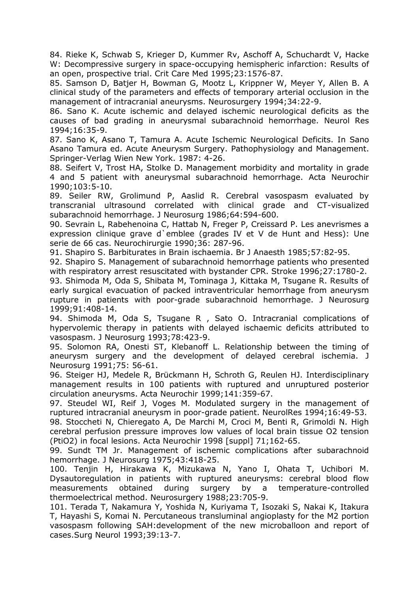84. Rieke K, Schwab S, Krieger D, Kummer Rv, Aschoff A, Schuchardt V, Hacke W: Decompressive surgery in space-occupying hemispheric infarction: Results of an open, prospective trial. Crit Care Med 1995;23:1576-87.

85. Samson D, Batjer H, Bowman G, Mootz L, Krippner W, Meyer Y, Allen B. A clinical study of the parameters and effects of temporary arterial occlusion in the management of intracranial aneurysms. Neurosurgery 1994;34:22-9.

86. Sano K. Acute ischemic and delayed ischemic neurological deficits as the causes of bad grading in aneurysmal subarachnoid hemorrhage. Neurol Res 1994;16:35-9.

87. Sano K, Asano T, Tamura A. Acute Ischemic Neurological Deficits. In Sano Asano Tamura ed. Acute Aneurysm Surgery. Pathophysiology and Management. Springer-Verlag Wien New York. 1987: 4-26.

88. Seifert V, Trost HA, Stolke D. Management morbidity and mortality in grade 4 and 5 patient with aneurysmal subarachnoid hemorrhage. Acta Neurochir 1990;103:5-10.

89. Seiler RW, Grolimund P, Aaslid R. Cerebral vasospasm evaluated by transcranial ultrasound correlated with clinical grade and CT-visualized subarachnoid hemorrhage. J Neurosurg 1986;64:594-600.

90. Sevrain L, Rabehenoina C, Hattab N, Freger P, Creissard P. Les anevrismes a expression clinique grave d`emblee (grades IV et V de Hunt and Hess): Une serie de 66 cas. Neurochirurgie 1990;36: 287-96.

91. Shapiro S. Barbiturates in Brain ischaemia. Br J Anaesth 1985;57:82-95.

92. Shapiro S. Management of subarachnoid hemorrhage patients who presented with respiratory arrest resuscitated with bystander CPR. Stroke 1996;27:1780-2.

93. Shimoda M, Oda S, Shibata M, Tominaga J, Kittaka M, Tsugane R. Results of early surgical evacuation of packed intraventricular hemorrhage from aneurysm rupture in patients with poor-grade subarachnoid hemorrhage. J Neurosurg 1999;91:408-14.

94. Shimoda M, Oda S, Tsugane R , Sato O. Intracranial complications of hypervolemic therapy in patients with delayed ischaemic deficits attributed to vasospasm. J Neurosurg 1993;78:423-9.

95. Solomon RA, Onesti ST, Klebanoff L. Relationship between the timing of aneurysm surgery and the development of delayed cerebral ischemia. J Neurosurg 1991;75: 56-61.

96. Steiger HJ, Medele R, Brückmann H, Schroth G, Reulen HJ. Interdisciplinary management results in 100 patients with ruptured and unruptured posterior circulation aneurysms. Acta Neurochir 1999;141:359-67.

97. Steudel WI, Reif J, Voges M. Modulated surgery in the management of ruptured intracranial aneurysm in poor-grade patient. NeurolRes 1994;16:49-53.

98. Stoccheti N, Chieregato A, De Marchi M, Croci M, Benti R, Grimoldi N. High cerebral perfusion pressure improves low values of local brain tissue O2 tension (PtiO2) in focal lesions. Acta Neurochir 1998 [suppl] 71;162-65.

99. Sundt TM Jr. Management of ischemic complications after subarachnoid hemorrhage. J Neurosurg 1975;43:418-25.

100. Tenjin H, Hirakawa K, Mizukawa N, Yano I, Ohata T, Uchibori M. Dysautoregulation in patients with ruptured aneurysms: cerebral blood flow measurements obtained during surgery by a temperature-controlled thermoelectrical method. Neurosurgery 1988;23:705-9.

101. Terada T, Nakamura Y, Yoshida N, Kuriyama T, Isozaki S, Nakai K, Itakura T, Hayashi S, Komai N. Percutaneous transluminal angioplasty for the M2 portion vasospasm following SAH:development of the new microballoon and report of cases.Surg Neurol 1993;39:13-7.